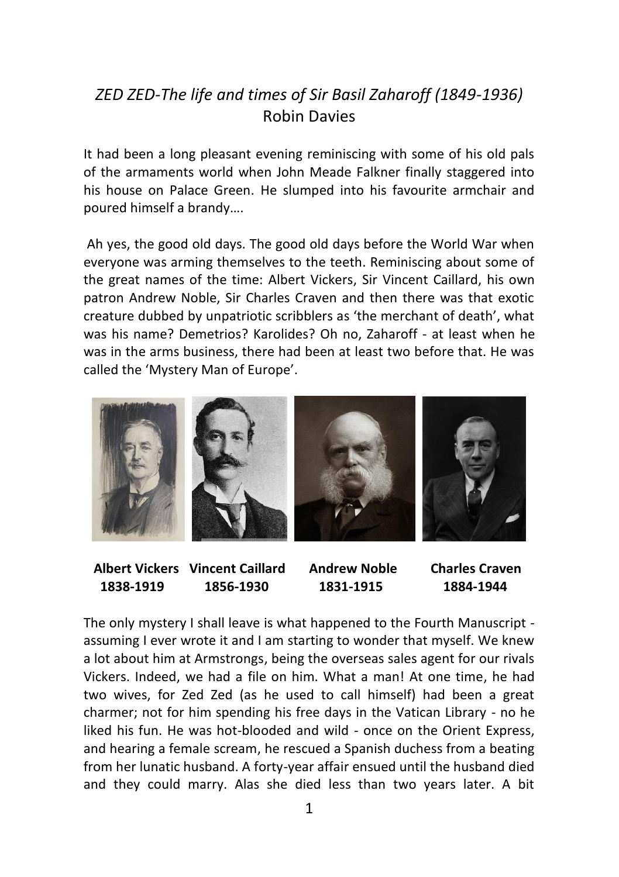## *ZED ZED-The life and times of Sir Basil Zaharoff (1849-1936)* Robin Davies

It had been a long pleasant evening reminiscing with some of his old pals of the armaments world when John Meade Falkner finally staggered into his house on Palace Green. He slumped into his favourite armchair and poured himself a brandy….

Ah yes, the good old days. The good old days before the World War when everyone was arming themselves to the teeth. Reminiscing about some of the great names of the time: Albert Vickers, Sir Vincent Caillard, his own patron Andrew Noble, Sir Charles Craven and then there was that exotic creature dubbed by unpatriotic scribblers as 'the merchant of death', what was his name? Demetrios? Karolides? Oh no, Zaharoff - at least when he was in the arms business, there had been at least two before that. He was called the 'Mystery Man of Europe'.



 **Albert Vickers Vincent Caillard Andrew Noble Charles Craven 1838-1919 1856-1930 1831-1915 1884-1944**

The only mystery I shall leave is what happened to the Fourth Manuscript assuming I ever wrote it and I am starting to wonder that myself. We knew a lot about him at Armstrongs, being the overseas sales agent for our rivals Vickers. Indeed, we had a file on him. What a man! At one time, he had two wives, for Zed Zed (as he used to call himself) had been a great charmer; not for him spending his free days in the Vatican Library - no he liked his fun. He was hot-blooded and wild - once on the Orient Express, and hearing a female scream, he rescued a Spanish duchess from a beating from her lunatic husband. A forty-year affair ensued until the husband died and they could marry. Alas she died less than two years later. A bit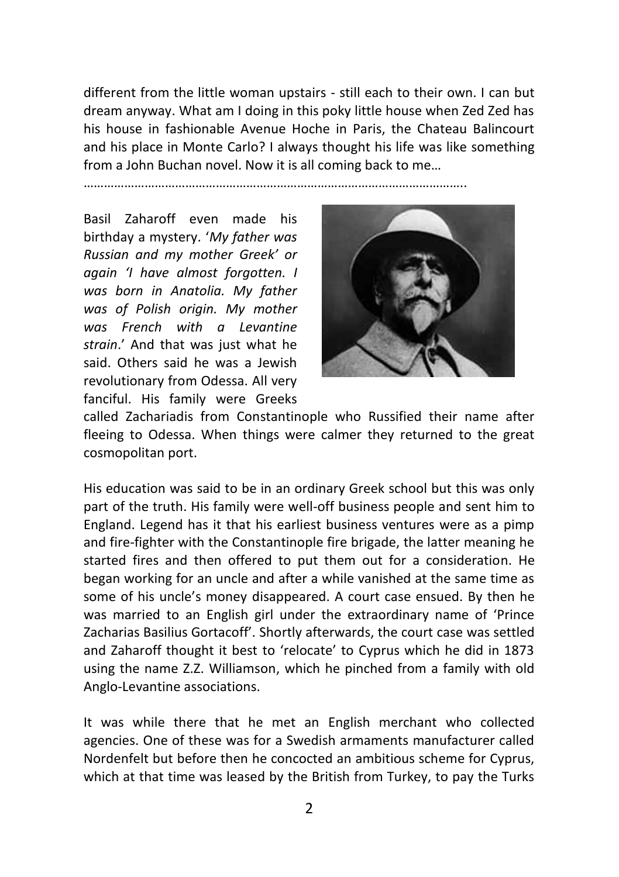different from the little woman upstairs - still each to their own. I can but dream anyway. What am I doing in this poky little house when Zed Zed has his house in fashionable Avenue Hoche in Paris, the Chateau Balincourt and his place in Monte Carlo? I always thought his life was like something from a John Buchan novel. Now it is all coming back to me…

…………………………………………………………………………………………………..

Basil Zaharoff even made his birthday a mystery. '*My father was Russian and my mother Greek' or again 'I have almost forgotten. I was born in Anatolia. My father was of Polish origin. My mother was French with a Levantine strain*.' And that was just what he said. Others said he was a Jewish revolutionary from Odessa. All very fanciful. His family were Greeks



called Zachariadis from Constantinople who Russified their name after fleeing to Odessa. When things were calmer they returned to the great cosmopolitan port.

His education was said to be in an ordinary Greek school but this was only part of the truth. His family were well-off business people and sent him to England. Legend has it that his earliest business ventures were as a pimp and fire-fighter with the Constantinople fire brigade, the latter meaning he started fires and then offered to put them out for a consideration. He began working for an uncle and after a while vanished at the same time as some of his uncle's money disappeared. A court case ensued. By then he was married to an English girl under the extraordinary name of 'Prince Zacharias Basilius Gortacoff'. Shortly afterwards, the court case was settled and Zaharoff thought it best to 'relocate' to Cyprus which he did in 1873 using the name Z.Z. Williamson, which he pinched from a family with old Anglo-Levantine associations.

It was while there that he met an English merchant who collected agencies. One of these was for a Swedish armaments manufacturer called Nordenfelt but before then he concocted an ambitious scheme for Cyprus, which at that time was leased by the British from Turkey, to pay the Turks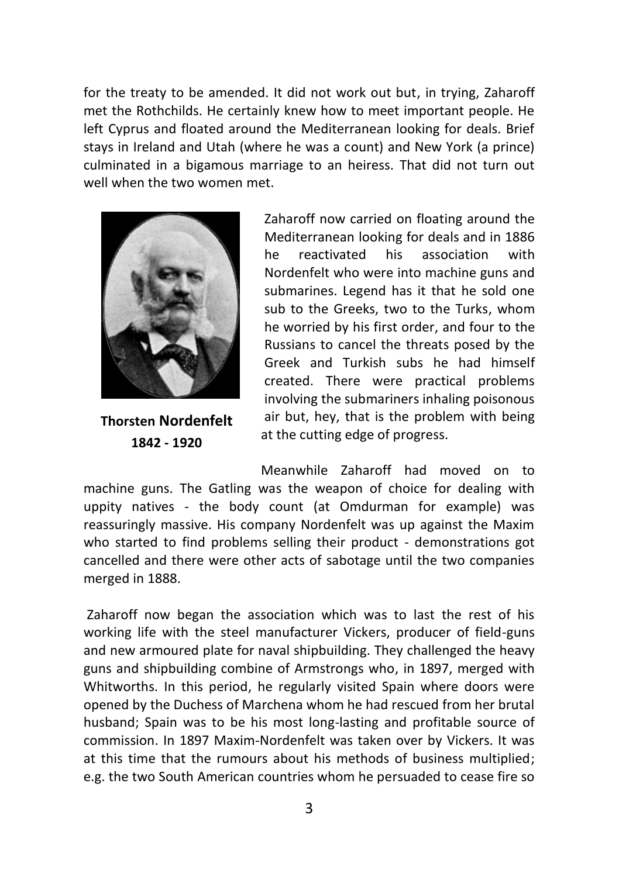for the treaty to be amended. It did not work out but, in trying, Zaharoff met the Rothchilds. He certainly knew how to meet important people. He left Cyprus and floated around the Mediterranean looking for deals. Brief stays in Ireland and Utah (where he was a count) and New York (a prince) culminated in a bigamous marriage to an heiress. That did not turn out well when the two women met.



**Thorsten Nordenfelt 1842 - 1920**

Zaharoff now carried on floating around the Mediterranean looking for deals and in 1886 he reactivated his association with Nordenfelt who were into machine guns and submarines. Legend has it that he sold one sub to the Greeks, two to the Turks, whom he worried by his first order, and four to the Russians to cancel the threats posed by the Greek and Turkish subs he had himself created. There were practical problems involving the submariners inhaling poisonous air but, hey, that is the problem with being at the cutting edge of progress.

Meanwhile Zaharoff had moved on to machine guns. The Gatling was the weapon of choice for dealing with **1** uppity natives - the body count (at Omdurman for example) was reassuringly massive. His company Nordenfelt was up against the Maxim who started to find problems selling their product - demonstrations got cancelled and there were other acts of sabotage until the two companies **1**merged in 1888.

Zaharoff now began the association which was to last the rest of his working life with the steel manufacturer Vickers, producer of field-guns and new armoured plate for naval shipbuilding. They challenged the heavy guns and shipbuilding combine of Armstrongs who, in 1897, merged with Whitworths. In this period, he regularly visited Spain where doors were opened by the Duchess of Marchena whom he had rescued from her brutal husband; Spain was to be his most long-lasting and profitable source of commission. In 1897 Maxim-Nordenfelt was taken over by Vickers. It was at this time that the rumours about his methods of business multiplied; e.g. the two South American countries whom he persuaded to cease fire so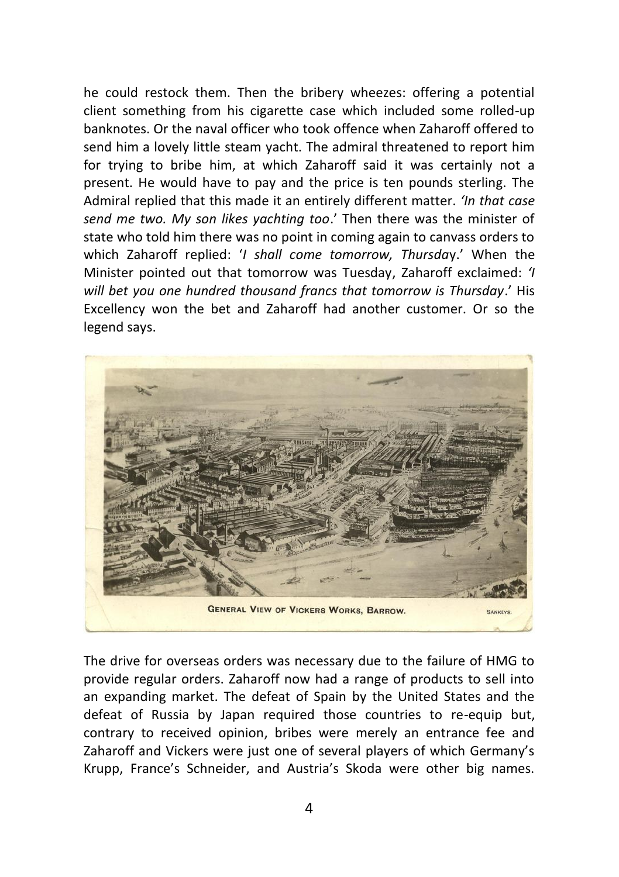he could restock them. Then the bribery wheezes: offering a potential client something from his cigarette case which included some rolled-up banknotes. Or the naval officer who took offence when Zaharoff offered to send him a lovely little steam yacht. The admiral threatened to report him for trying to bribe him, at which Zaharoff said it was certainly not a present. He would have to pay and the price is ten pounds sterling. The Admiral replied that this made it an entirely different matter. *'In that case send me two. My son likes yachting too*.' Then there was the minister of state who told him there was no point in coming again to canvass orders to which Zaharoff replied: '*I shall come tomorrow, Thursda*y.' When the Minister pointed out that tomorrow was Tuesday, Zaharoff exclaimed: *'I will bet you one hundred thousand francs that tomorrow is Thursday*.' His Excellency won the bet and Zaharoff had another customer. Or so the legend says.



The drive for overseas orders was necessary due to the failure of HMG to provide regular orders. Zaharoff now had a range of products to sell into an expanding market. The defeat of Spain by the United States and the defeat of Russia by Japan required those countries to re-equip but, contrary to received opinion, bribes were merely an entrance fee and Zaharoff and Vickers were just one of several players of which Germany's Krupp, France's Schneider, and Austria's Skoda were other big names.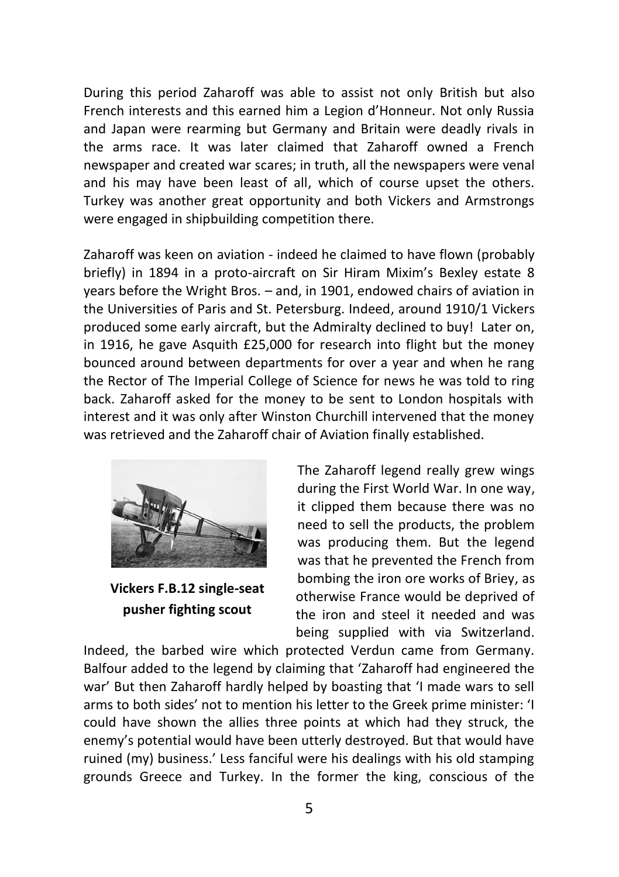During this period Zaharoff was able to assist not only British but also French interests and this earned him a Legion d'Honneur. Not only Russia and Japan were rearming but Germany and Britain were deadly rivals in the arms race. It was later claimed that Zaharoff owned a French newspaper and created war scares; in truth, all the newspapers were venal and his may have been least of all, which of course upset the others. Turkey was another great opportunity and both Vickers and Armstrongs were engaged in shipbuilding competition there.

Zaharoff was keen on aviation - indeed he claimed to have flown (probably briefly) in 1894 in a proto-aircraft on Sir Hiram Mixim's Bexley estate 8 years before the Wright Bros. – and, in 1901, endowed chairs of aviation in the Universities of Paris and St. Petersburg. Indeed, around 1910/1 Vickers produced some early aircraft, but the Admiralty declined to buy! Later on, in 1916, he gave Asquith £25,000 for research into flight but the money bounced around between departments for over a year and when he rang the Rector of The Imperial College of Science for news he was told to ring back. Zaharoff asked for the money to be sent to London hospitals with interest and it was only after Winston Churchill intervened that the money was retrieved and the Zaharoff chair of Aviation finally established.



**Vickers F.B.12 single-seat pusher fighting scout**

The Zaharoff legend really grew wings during the First World War. In one way, it clipped them because there was no need to sell the products, the problem was producing them. But the legend was that he prevented the French from bombing the iron ore works of Briey, as otherwise France would be deprived of the iron and steel it needed and was being supplied with via Switzerland.

Indeed, the barbed wire which protected Verdun came from Germany. Balfour added to the legend by claiming that 'Zaharoff had engineered the war' But then Zaharoff hardly helped by boasting that 'I made wars to sell arms to both sides' not to mention his letter to the Greek prime minister: 'I could have shown the allies three points at which had they struck, the enemy's potential would have been utterly destroyed. But that would have ruined (my) business.' Less fanciful were his dealings with his old stamping grounds Greece and Turkey. In the former the king, conscious of the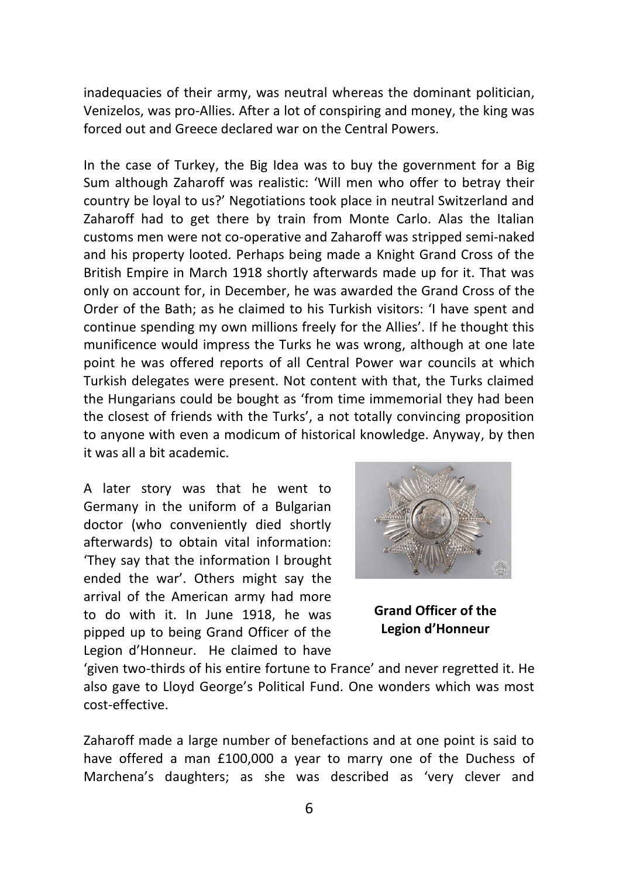inadequacies of their army, was neutral whereas the dominant politician, Venizelos, was pro-Allies. After a lot of conspiring and money, the king was forced out and Greece declared war on the Central Powers.

In the case of Turkey, the Big Idea was to buy the government for a Big Sum although Zaharoff was realistic: 'Will men who offer to betray their country be loyal to us?' Negotiations took place in neutral Switzerland and Zaharoff had to get there by train from Monte Carlo. Alas the Italian customs men were not co-operative and Zaharoff was stripped semi-naked and his property looted. Perhaps being made a Knight Grand Cross of the British Empire in March 1918 shortly afterwards made up for it. That was only on account for, in December, he was awarded the Grand Cross of the Order of the Bath; as he claimed to his Turkish visitors: 'I have spent and continue spending my own millions freely for the Allies'. If he thought this munificence would impress the Turks he was wrong, although at one late point he was offered reports of all Central Power war councils at which Turkish delegates were present. Not content with that, the Turks claimed the Hungarians could be bought as 'from time immemorial they had been the closest of friends with the Turks', a not totally convincing proposition to anyone with even a modicum of historical knowledge. Anyway, by then it was all a bit academic.

A later story was that he went to Germany in the uniform of a Bulgarian doctor (who conveniently died shortly afterwards) to obtain vital information: 'They say that the information I brought ended the war'. Others might say the arrival of the American army had more to do with it. In June 1918, he was pipped up to being Grand Officer of the Legion d'Honneur. He claimed to have



**Grand Officer of the Legion d'Honneur**

'given two-thirds of his entire fortune to France' and never regretted it. He also gave to Lloyd George's Political Fund. One wonders which was most cost-effective.

Zaharoff made a large number of benefactions and at one point is said to have offered a man £100,000 a year to marry one of the Duchess of Marchena's daughters; as she was described as 'very clever and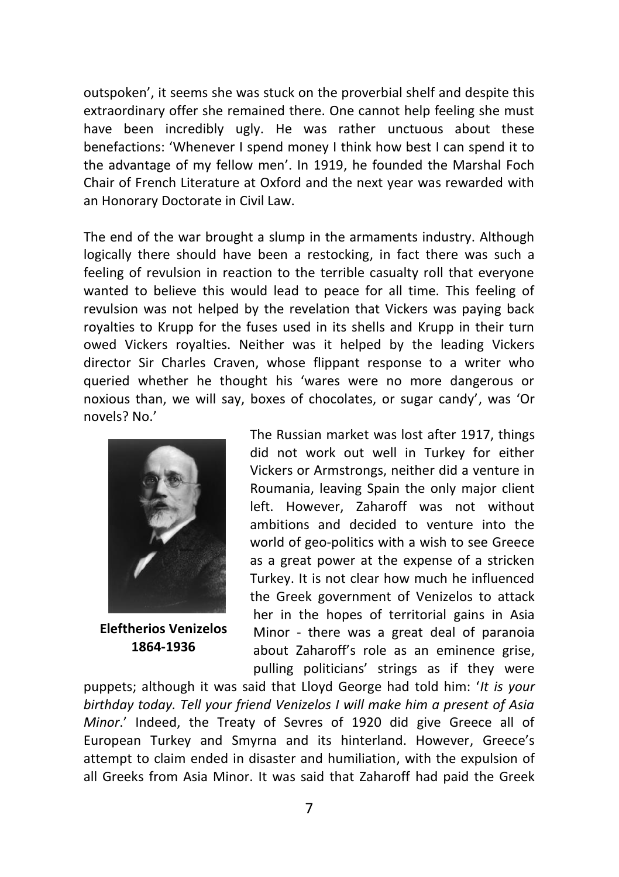outspoken', it seems she was stuck on the proverbial shelf and despite this extraordinary offer she remained there. One cannot help feeling she must have been incredibly ugly. He was rather unctuous about these benefactions: 'Whenever I spend money I think how best I can spend it to the advantage of my fellow men'. In 1919, he founded the Marshal Foch Chair of French Literature at Oxford and the next year was rewarded with an Honorary Doctorate in Civil Law.

The end of the war brought a slump in the armaments industry. Although logically there should have been a restocking, in fact there was such a feeling of revulsion in reaction to the terrible casualty roll that everyone wanted to believe this would lead to peace for all time. This feeling of revulsion was not helped by the revelation that Vickers was paying back royalties to Krupp for the fuses used in its shells and Krupp in their turn owed Vickers royalties. Neither was it helped by the leading Vickers director Sir Charles Craven, whose flippant response to a writer who queried whether he thought his 'wares were no more dangerous or noxious than, we will say, boxes of chocolates, or sugar candy', was 'Or novels? No.'



**Eleftherios Venizelos 1864-1936**

The Russian market was lost after 1917, things did not work out well in Turkey for either Vickers or Armstrongs, neither did a venture in Roumania, leaving Spain the only major client left. However, Zaharoff was not without ambitions and decided to venture into the world of geo-politics with a wish to see Greece as a great power at the expense of a stricken Turkey. It is not clear how much he influenced the Greek government of Venizelos to attack her in the hopes of territorial gains in Asia Minor - there was a great deal of paranoia about Zaharoff's role as an eminence grise, pulling politicians' strings as if they were

puppets; although it was said that Lloyd George had told him: '*It is your birthday today. Tell your friend Venizelos I will make him a present of Asia Minor*.' Indeed, the Treaty of Sevres of 1920 did give Greece all of European Turkey and Smyrna and its hinterland. However, Greece's attempt to claim ended in disaster and humiliation, with the expulsion of all Greeks from Asia Minor. It was said that Zaharoff had paid the Greek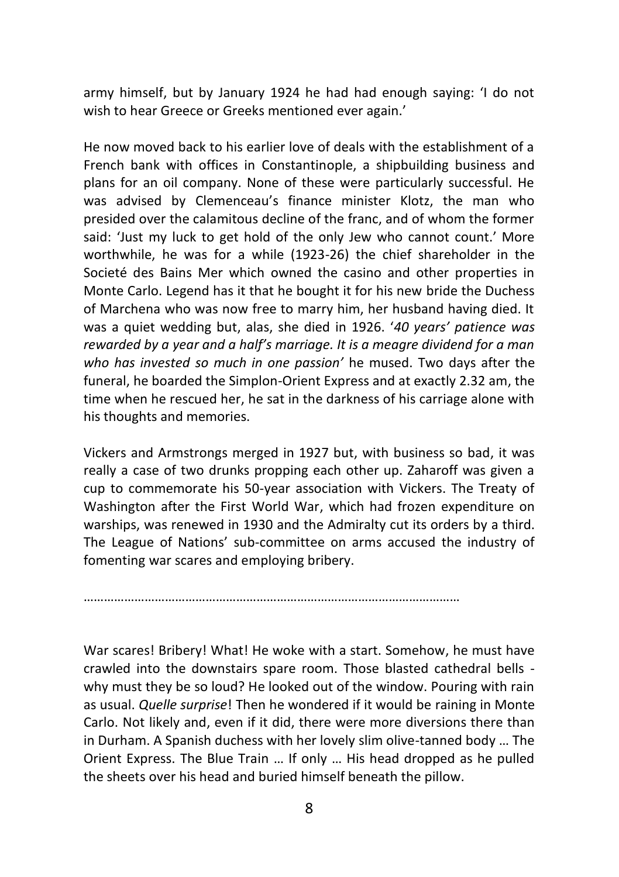army himself, but by January 1924 he had had enough saying: 'I do not wish to hear Greece or Greeks mentioned ever again.'

He now moved back to his earlier love of deals with the establishment of a French bank with offices in Constantinople, a shipbuilding business and plans for an oil company. None of these were particularly successful. He was advised by Clemenceau's finance minister Klotz, the man who presided over the calamitous decline of the franc, and of whom the former said: 'Just my luck to get hold of the only Jew who cannot count.' More worthwhile, he was for a while (1923-26) the chief shareholder in the Societé des Bains Mer which owned the casino and other properties in Monte Carlo. Legend has it that he bought it for his new bride the Duchess of Marchena who was now free to marry him, her husband having died. It was a quiet wedding but, alas, she died in 1926. '*40 years' patience was rewarded by a year and a half's marriage. It is a meagre dividend for a man who has invested so much in one passion'* he mused. Two days after the funeral, he boarded the Simplon-Orient Express and at exactly 2.32 am, the time when he rescued her, he sat in the darkness of his carriage alone with his thoughts and memories.

Vickers and Armstrongs merged in 1927 but, with business so bad, it was really a case of two drunks propping each other up. Zaharoff was given a cup to commemorate his 50-year association with Vickers. The Treaty of Washington after the First World War, which had frozen expenditure on warships, was renewed in 1930 and the Admiralty cut its orders by a third. The League of Nations' sub-committee on arms accused the industry of fomenting war scares and employing bribery.

War scares! Bribery! What! He woke with a start. Somehow, he must have crawled into the downstairs spare room. Those blasted cathedral bells -

…………………………………………………………………………………………………

why must they be so loud? He looked out of the window. Pouring with rain as usual. *Quelle surprise*! Then he wondered if it would be raining in Monte Carlo. Not likely and, even if it did, there were more diversions there than in Durham. A Spanish duchess with her lovely slim olive-tanned body … The Orient Express. The Blue Train … If only … His head dropped as he pulled the sheets over his head and buried himself beneath the pillow.